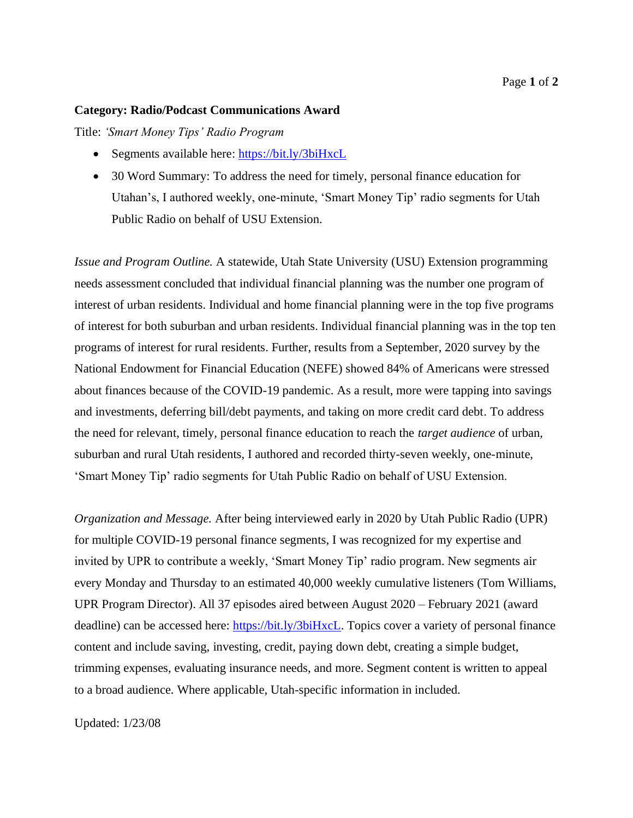#### **Category: Radio/Podcast Communications Award**

Title: *'Smart Money Tips' Radio Program*

- Segments available here: https://bit.ly/3biHxcL
- 30 Word Summary: To address the need for timely, personal finance education for Utahan's, I authored weekly, one-minute, 'Smart Money Tip' radio segments for Utah Public Radio on behalf of USU Extension.

*Issue and Program Outline.* A statewide, Utah State University (USU) Extension programming needs assessment concluded that individual financial planning was the number one program of interest of urban residents. Individual and home financial planning were in the top five programs of interest for both suburban and urban residents. Individual financial planning was in the top ten programs of interest for rural residents. Further, results from a September, 2020 survey by the National Endowment for Financial Education (NEFE) showed 84% of Americans were stressed about finances because of the COVID-19 pandemic. As a result, more were tapping into savings and investments, deferring bill/debt payments, and taking on more credit card debt. To address the need for relevant, timely, personal finance education to reach the *target audience* of urban, suburban and rural Utah residents, I authored and recorded thirty-seven weekly, one-minute, 'Smart Money Tip' radio segments for Utah Public Radio on behalf of USU Extension.

*Organization and Message.* After being interviewed early in 2020 by Utah Public Radio (UPR) for multiple COVID-19 personal finance segments, I was recognized for my expertise and invited by UPR to contribute a weekly, 'Smart Money Tip' radio program. New segments air every Monday and Thursday to an estimated 40,000 weekly cumulative listeners (Tom Williams, UPR Program Director). All 37 episodes aired between August 2020 – February 2021 (award deadline) can be accessed here: https://bit.ly/3biHxcL. Topics cover a variety of personal finance content and include saving, investing, credit, paying down debt, creating a simple budget, trimming expenses, evaluating insurance needs, and more. Segment content is written to appeal to a broad audience. Where applicable, Utah-specific information in included.

Updated: 1/23/08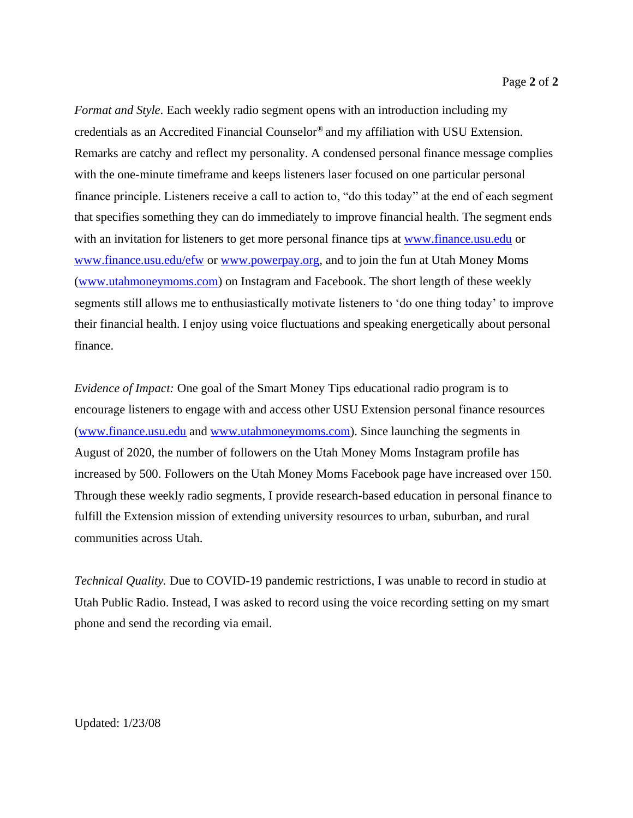*Format and Style*. Each weekly radio segment opens with an introduction including my credentials as an Accredited Financial Counselor® and my affiliation with USU Extension. Remarks are catchy and reflect my personality. A condensed personal finance message complies with the one-minute timeframe and keeps listeners laser focused on one particular personal finance principle. Listeners receive a call to action to, "do this today" at the end of each segment that specifies something they can do immediately to improve financial health. The segment ends with an invitation for listeners to get more personal finance tips at [www.finance.usu.edu](http://www.finance.usu.edu/) or [www.finance.usu.edu/efw](http://www.finance.usu.edu/efw) or [www.powerpay.org,](http://www.powerpay.org/) and to join the fun at Utah Money Moms [\(www.utahmoneymoms.com\)](http://www.utahmoneymoms.com/) on Instagram and Facebook. The short length of these weekly segments still allows me to enthusiastically motivate listeners to 'do one thing today' to improve their financial health. I enjoy using voice fluctuations and speaking energetically about personal finance.

*Evidence of Impact:* One goal of the Smart Money Tips educational radio program is to encourage listeners to engage with and access other USU Extension personal finance resources [\(www.finance.usu.edu](http://www.finance.usu.edu/) and [www.utahmoneymoms.com\)](http://www.utahmoneymoms.com/). Since launching the segments in August of 2020, the number of followers on the Utah Money Moms Instagram profile has increased by 500. Followers on the Utah Money Moms Facebook page have increased over 150. Through these weekly radio segments, I provide research-based education in personal finance to fulfill the Extension mission of extending university resources to urban, suburban, and rural communities across Utah.

*Technical Quality.* Due to COVID-19 pandemic restrictions, I was unable to record in studio at Utah Public Radio. Instead, I was asked to record using the voice recording setting on my smart phone and send the recording via email.

Updated: 1/23/08